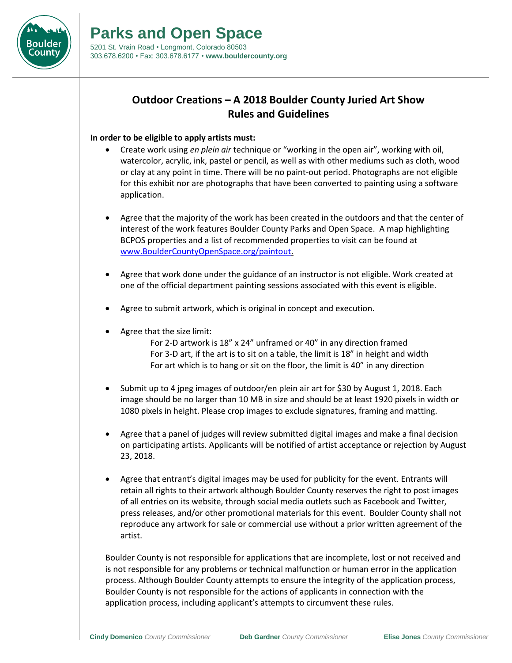

## **Outdoor Creations – A 2018 Boulder County Juried Art Show Rules and Guidelines**

## **In order to be eligible to apply artists must:**

- Create work using *en plein air* technique or "working in the open air", working with oil, watercolor, acrylic, ink, pastel or pencil, as well as with other mediums such as cloth, wood or clay at any point in time. There will be no paint-out period. Photographs are not eligible for this exhibit nor are photographs that have been converted to painting using a software application.
- Agree that the majority of the work has been created in the outdoors and that the center of interest of the work features Boulder County Parks and Open Space. A map highlighting BCPOS properties and a list of recommended properties to visit can be found at [www.BoulderCountyOpenSpace.org/paintout.](http://www.bouldercountyopenspace.org/paintout)
- Agree that work done under the guidance of an instructor is not eligible. Work created at one of the official department painting sessions associated with this event is eligible.
- Agree to submit artwork, which is original in concept and execution.
- Agree that the size limit:
	- For 2-D artwork is 18" x 24" unframed or 40" in any direction framed For 3-D art, if the art is to sit on a table, the limit is 18" in height and width For art which is to hang or sit on the floor, the limit is 40" in any direction
- Submit up to 4 jpeg images of outdoor/en plein air art for \$30 by August 1, 2018. Each image should be no larger than 10 MB in size and should be at least 1920 pixels in width or 1080 pixels in height. Please crop images to exclude signatures, framing and matting.
- Agree that a panel of judges will review submitted digital images and make a final decision on participating artists. Applicants will be notified of artist acceptance or rejection by August 23, 2018.
- Agree that entrant's digital images may be used for publicity for the event. Entrants will retain all rights to their artwork although Boulder County reserves the right to post images of all entries on its website, through social media outlets such as Facebook and Twitter, press releases, and/or other promotional materials for this event. Boulder County shall not reproduce any artwork for sale or commercial use without a prior written agreement of the artist.

Boulder County is not responsible for applications that are incomplete, lost or not received and is not responsible for any problems or technical malfunction or human error in the application process. Although Boulder County attempts to ensure the integrity of the application process, Boulder County is not responsible for the actions of applicants in connection with the application process, including applicant's attempts to circumvent these rules.